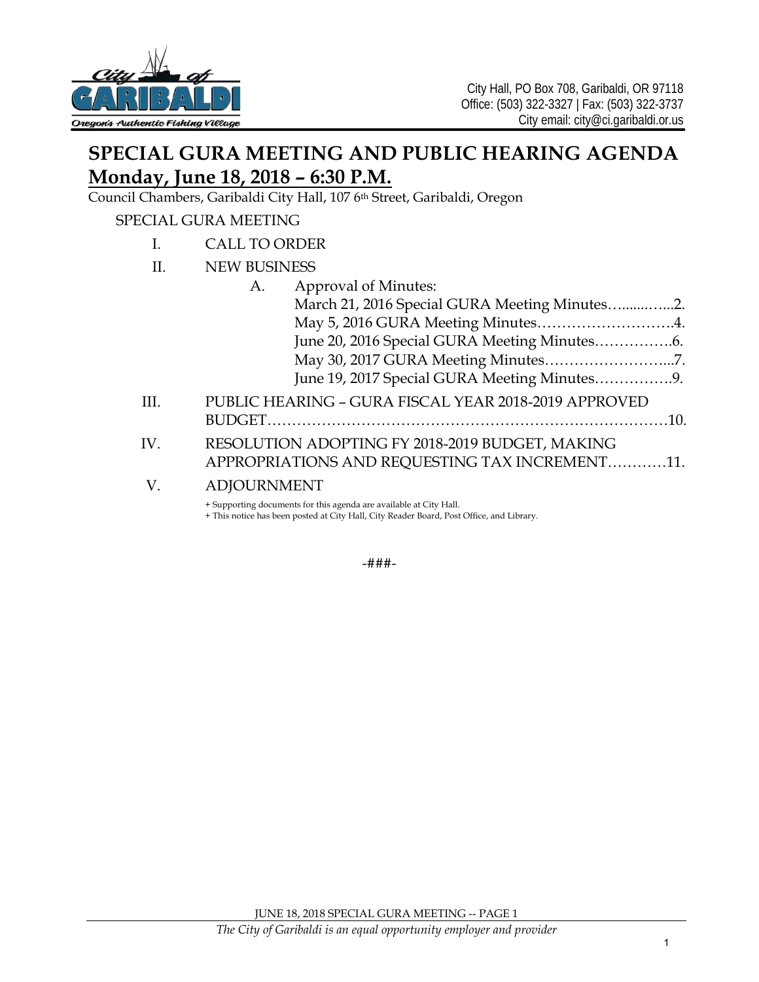

## **SPECIAL GURA MEETING AND PUBLIC HEARING AGENDA Monday, June 18, 2018 – 6:30 P.M.**

Council Chambers, Garibaldi City Hall, 107 6th Street, Garibaldi, Oregon

## SPECIAL GURA MEETING

- I. CALL TO ORDER
- II. NEW BUSINESS

|      | A. | Approval of Minutes:                                 |  |
|------|----|------------------------------------------------------|--|
|      |    | March 21, 2016 Special GURA Meeting Minutes2.        |  |
|      |    | May 5, 2016 GURA Meeting Minutes4.                   |  |
|      |    |                                                      |  |
|      |    |                                                      |  |
|      |    | June 19, 2017 Special GURA Meeting Minutes9.         |  |
| III. |    | PUBLIC HEARING - GURA FISCAL YEAR 2018-2019 APPROVED |  |
|      |    |                                                      |  |
| IV.  |    | RESOLUTION ADOPTING FY 2018-2019 BUDGET, MAKING      |  |
|      |    | APPROPRIATIONS AND REQUESTING TAX INCREMENT11.       |  |
|      |    |                                                      |  |

#### V. ADJOURNMENT

+ Supporting documents for this agenda are available at City Hall.

+ This notice has been posted at City Hall, City Reader Board, Post Office, and Library.

-###-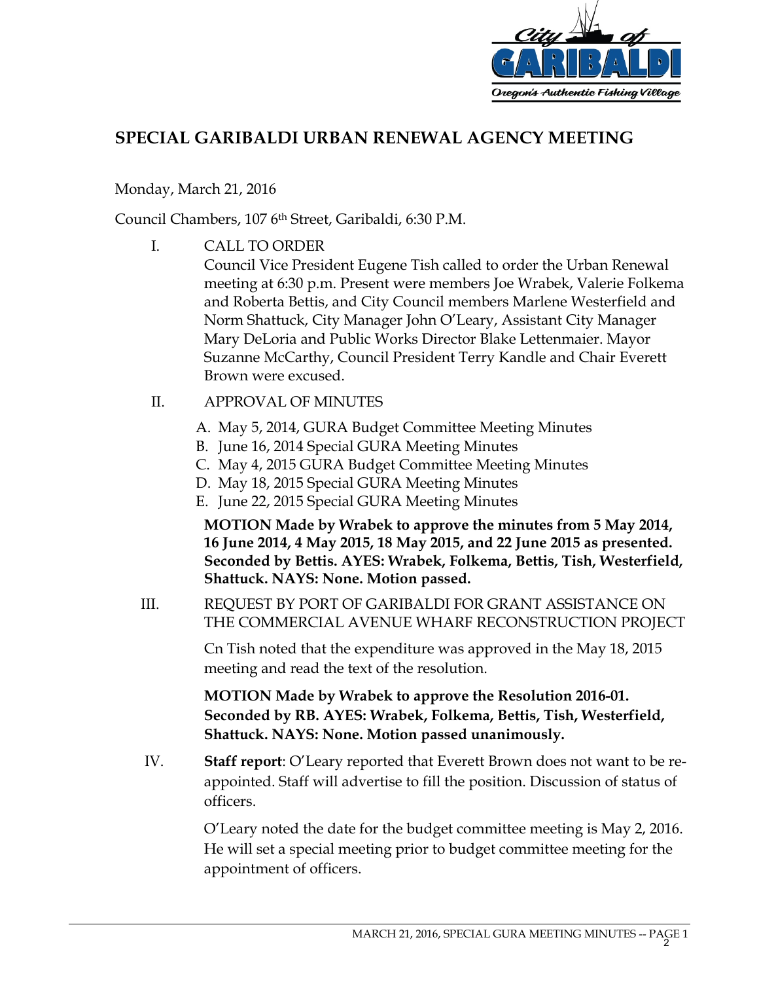

## **SPECIAL GARIBALDI URBAN RENEWAL AGENCY MEETING**

## Monday, March 21, 2016

Council Chambers, 107 6th Street, Garibaldi, 6:30 P.M.

I. CALL TO ORDER Council Vice President Eugene Tish called to order the Urban Renewal meeting at 6:30 p.m. Present were members Joe Wrabek, Valerie Folkema and Roberta Bettis, and City Council members Marlene Westerfield and Norm Shattuck, City Manager John O'Leary, Assistant City Manager Mary DeLoria and Public Works Director Blake Lettenmaier. Mayor Suzanne McCarthy, Council President Terry Kandle and Chair Everett Brown were excused.

## II. APPROVAL OF MINUTES

- A. May 5, 2014, GURA Budget Committee Meeting Minutes
- B. June 16, 2014 Special GURA Meeting Minutes
- C. May 4, 2015 GURA Budget Committee Meeting Minutes
- D. May 18, 2015 Special GURA Meeting Minutes
- E. June 22, 2015 Special GURA Meeting Minutes

**MOTION Made by Wrabek to approve the minutes from 5 May 2014, 16 June 2014, 4 May 2015, 18 May 2015, and 22 June 2015 as presented. Seconded by Bettis. AYES: Wrabek, Folkema, Bettis, Tish, Westerfield, Shattuck. NAYS: None. Motion passed.** 

III. REQUEST BY PORT OF GARIBALDI FOR GRANT ASSISTANCE ON THE COMMERCIAL AVENUE WHARF RECONSTRUCTION PROJECT

> Cn Tish noted that the expenditure was approved in the May 18, 2015 meeting and read the text of the resolution.

> **MOTION Made by Wrabek to approve the Resolution 2016-01. Seconded by RB. AYES: Wrabek, Folkema, Bettis, Tish, Westerfield, Shattuck. NAYS: None. Motion passed unanimously.**

IV. **Staff report**: O'Leary reported that Everett Brown does not want to be reappointed. Staff will advertise to fill the position. Discussion of status of officers.

> O'Leary noted the date for the budget committee meeting is May 2, 2016. He will set a special meeting prior to budget committee meeting for the appointment of officers.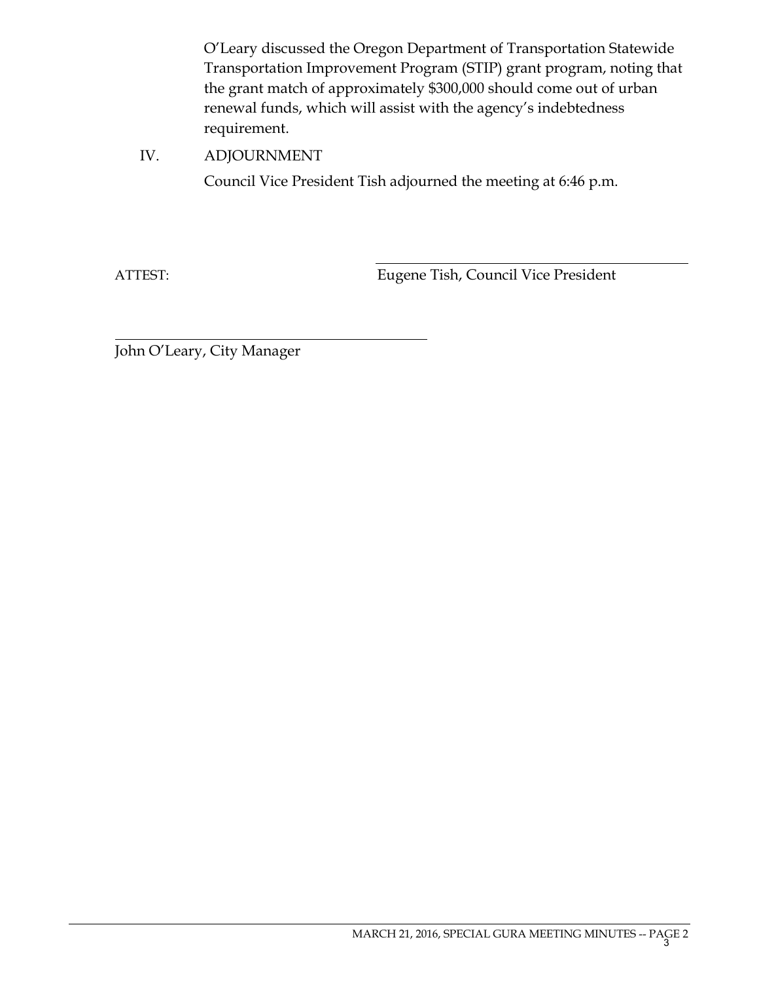O'Leary discussed the Oregon Department of Transportation Statewide Transportation Improvement Program (STIP) grant program, noting that the grant match of approximately \$300,000 should come out of urban renewal funds, which will assist with the agency's indebtedness requirement.

IV. ADJOURNMENT

Council Vice President Tish adjourned the meeting at 6:46 p.m.

 $\overline{a}$ 

 $\overline{a}$ 

ATTEST: Eugene Tish, Council Vice President

John O'Leary, City Manager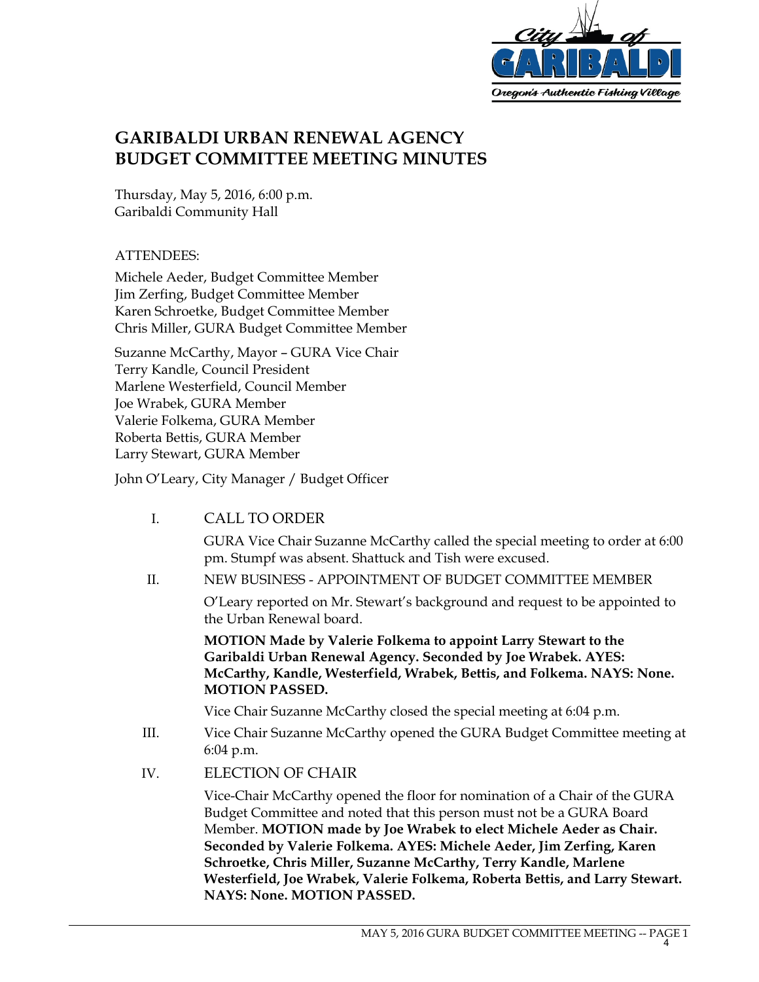

## **GARIBALDI URBAN RENEWAL AGENCY BUDGET COMMITTEE MEETING MINUTES**

Thursday, May 5, 2016, 6:00 p.m. Garibaldi Community Hall

#### ATTENDEES:

Michele Aeder, Budget Committee Member Jim Zerfing, Budget Committee Member Karen Schroetke, Budget Committee Member Chris Miller, GURA Budget Committee Member

Suzanne McCarthy, Mayor – GURA Vice Chair Terry Kandle, Council President Marlene Westerfield, Council Member Joe Wrabek, GURA Member Valerie Folkema, GURA Member Roberta Bettis, GURA Member Larry Stewart, GURA Member

John O'Leary, City Manager / Budget Officer

I. CALL TO ORDER

GURA Vice Chair Suzanne McCarthy called the special meeting to order at 6:00 pm. Stumpf was absent. Shattuck and Tish were excused.

II. NEW BUSINESS - APPOINTMENT OF BUDGET COMMITTEE MEMBER

O'Leary reported on Mr. Stewart's background and request to be appointed to the Urban Renewal board.

**MOTION Made by Valerie Folkema to appoint Larry Stewart to the Garibaldi Urban Renewal Agency. Seconded by Joe Wrabek. AYES: McCarthy, Kandle, Westerfield, Wrabek, Bettis, and Folkema. NAYS: None. MOTION PASSED.** 

Vice Chair Suzanne McCarthy closed the special meeting at 6:04 p.m.

- III. Vice Chair Suzanne McCarthy opened the GURA Budget Committee meeting at 6:04 p.m.
- IV. ELECTION OF CHAIR

Vice-Chair McCarthy opened the floor for nomination of a Chair of the GURA Budget Committee and noted that this person must not be a GURA Board Member. **MOTION made by Joe Wrabek to elect Michele Aeder as Chair. Seconded by Valerie Folkema. AYES: Michele Aeder, Jim Zerfing, Karen Schroetke, Chris Miller, Suzanne McCarthy, Terry Kandle, Marlene Westerfield, Joe Wrabek, Valerie Folkema, Roberta Bettis, and Larry Stewart. NAYS: None. MOTION PASSED.**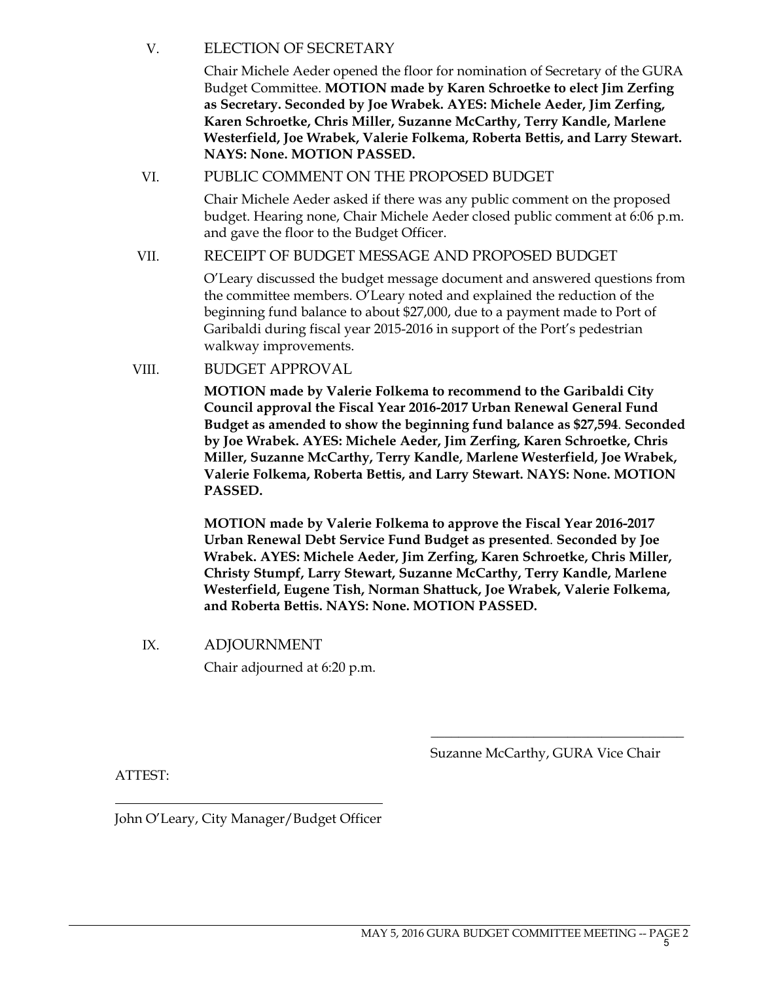## V. ELECTION OF SECRETARY

Chair Michele Aeder opened the floor for nomination of Secretary of the GURA Budget Committee. **MOTION made by Karen Schroetke to elect Jim Zerfing as Secretary. Seconded by Joe Wrabek. AYES: Michele Aeder, Jim Zerfing, Karen Schroetke, Chris Miller, Suzanne McCarthy, Terry Kandle, Marlene Westerfield, Joe Wrabek, Valerie Folkema, Roberta Bettis, and Larry Stewart. NAYS: None. MOTION PASSED.** 

## VI. PUBLIC COMMENT ON THE PROPOSED BUDGET

Chair Michele Aeder asked if there was any public comment on the proposed budget. Hearing none, Chair Michele Aeder closed public comment at 6:06 p.m. and gave the floor to the Budget Officer.

## VII. RECEIPT OF BUDGET MESSAGE AND PROPOSED BUDGET

O'Leary discussed the budget message document and answered questions from the committee members. O'Leary noted and explained the reduction of the beginning fund balance to about \$27,000, due to a payment made to Port of Garibaldi during fiscal year 2015-2016 in support of the Port's pedestrian walkway improvements.

## VIII. BUDGET APPROVAL

**MOTION made by Valerie Folkema to recommend to the Garibaldi City Council approval the Fiscal Year 2016-2017 Urban Renewal General Fund Budget as amended to show the beginning fund balance as \$27,594**. **Seconded by Joe Wrabek. AYES: Michele Aeder, Jim Zerfing, Karen Schroetke, Chris Miller, Suzanne McCarthy, Terry Kandle, Marlene Westerfield, Joe Wrabek, Valerie Folkema, Roberta Bettis, and Larry Stewart. NAYS: None. MOTION PASSED.** 

**MOTION made by Valerie Folkema to approve the Fiscal Year 2016-2017 Urban Renewal Debt Service Fund Budget as presented**. **Seconded by Joe Wrabek. AYES: Michele Aeder, Jim Zerfing, Karen Schroetke, Chris Miller, Christy Stumpf, Larry Stewart, Suzanne McCarthy, Terry Kandle, Marlene Westerfield, Eugene Tish, Norman Shattuck, Joe Wrabek, Valerie Folkema, and Roberta Bettis. NAYS: None. MOTION PASSED.** 

 $\frac{1}{\sqrt{2}}$  ,  $\frac{1}{\sqrt{2}}$  ,  $\frac{1}{\sqrt{2}}$  ,  $\frac{1}{\sqrt{2}}$  ,  $\frac{1}{\sqrt{2}}$  ,  $\frac{1}{\sqrt{2}}$  ,  $\frac{1}{\sqrt{2}}$  ,  $\frac{1}{\sqrt{2}}$  ,  $\frac{1}{\sqrt{2}}$  ,  $\frac{1}{\sqrt{2}}$  ,  $\frac{1}{\sqrt{2}}$  ,  $\frac{1}{\sqrt{2}}$  ,  $\frac{1}{\sqrt{2}}$  ,  $\frac{1}{\sqrt{2}}$  ,  $\frac{1}{\sqrt{2}}$ 

## IX. ADJOURNMENT

Chair adjourned at 6:20 p.m.

Suzanne McCarthy, GURA Vice Chair

ATTEST:

l

John O'Leary, City Manager/Budget Officer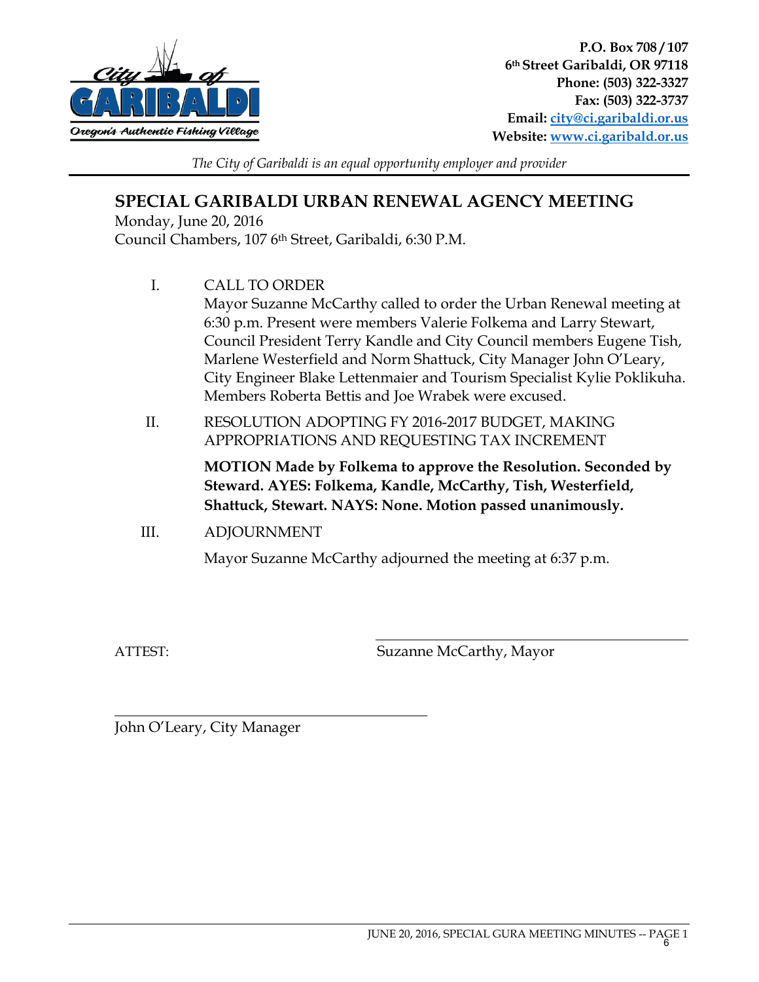

**P.O. Box 708 / 107 6th Street Garibaldi, OR 97118 Phone: (503) 322-3327 Fax: (503) 322-3737 Email: [city@ci.garibaldi.or.us](mailto:city@ci.garibaldi.or.us) Website: [www.ci.garibald.or.us](http://www.ci.garibald.or.us/)**

l

*The City of Garibaldi is an equal opportunity employer and provider*

## **SPECIAL GARIBALDI URBAN RENEWAL AGENCY MEETING**

Monday, June 20, 2016 Council Chambers, 107 6th Street, Garibaldi, 6:30 P.M.

- I. CALL TO ORDER Mayor Suzanne McCarthy called to order the Urban Renewal meeting at 6:30 p.m. Present were members Valerie Folkema and Larry Stewart, Council President Terry Kandle and City Council members Eugene Tish, Marlene Westerfield and Norm Shattuck, City Manager John O'Leary, City Engineer Blake Lettenmaier and Tourism Specialist Kylie Poklikuha. Members Roberta Bettis and Joe Wrabek were excused.
- II. RESOLUTION ADOPTING FY 2016-2017 BUDGET, MAKING APPROPRIATIONS AND REQUESTING TAX INCREMENT

**MOTION Made by Folkema to approve the Resolution. Seconded by Steward. AYES: Folkema, Kandle, McCarthy, Tish, Westerfield, Shattuck, Stewart. NAYS: None. Motion passed unanimously.** 

III. ADJOURNMENT

Mayor Suzanne McCarthy adjourned the meeting at 6:37 p.m.

 $\overline{a}$ 

ATTEST: Suzanne McCarthy, Mayor

John O'Leary, City Manager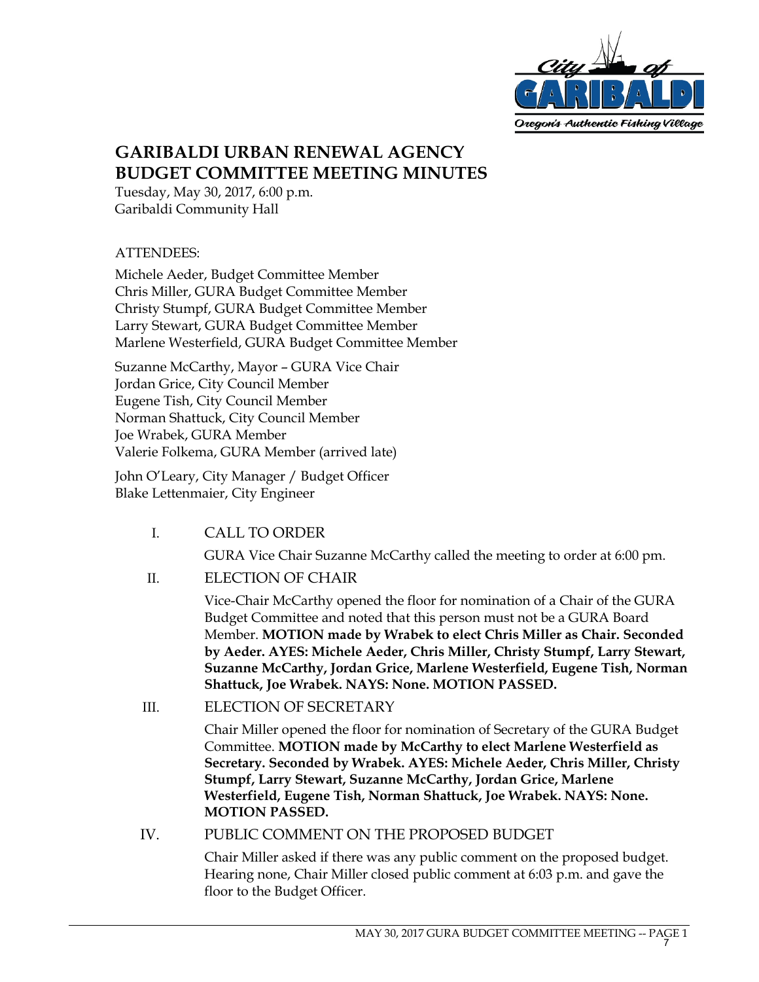

## **GARIBALDI URBAN RENEWAL AGENCY BUDGET COMMITTEE MEETING MINUTES**

Tuesday, May 30, 2017, 6:00 p.m. Garibaldi Community Hall

#### ATTENDEES:

Michele Aeder, Budget Committee Member Chris Miller, GURA Budget Committee Member Christy Stumpf, GURA Budget Committee Member Larry Stewart, GURA Budget Committee Member Marlene Westerfield, GURA Budget Committee Member

Suzanne McCarthy, Mayor – GURA Vice Chair Jordan Grice, City Council Member Eugene Tish, City Council Member Norman Shattuck, City Council Member Joe Wrabek, GURA Member Valerie Folkema, GURA Member (arrived late)

John O'Leary, City Manager / Budget Officer Blake Lettenmaier, City Engineer

I. CALL TO ORDER

GURA Vice Chair Suzanne McCarthy called the meeting to order at 6:00 pm.

II. ELECTION OF CHAIR

Vice-Chair McCarthy opened the floor for nomination of a Chair of the GURA Budget Committee and noted that this person must not be a GURA Board Member. **MOTION made by Wrabek to elect Chris Miller as Chair. Seconded by Aeder. AYES: Michele Aeder, Chris Miller, Christy Stumpf, Larry Stewart, Suzanne McCarthy, Jordan Grice, Marlene Westerfield, Eugene Tish, Norman Shattuck, Joe Wrabek. NAYS: None. MOTION PASSED.**

## III. ELECTION OF SECRETARY

Chair Miller opened the floor for nomination of Secretary of the GURA Budget Committee. **MOTION made by McCarthy to elect Marlene Westerfield as Secretary. Seconded by Wrabek. AYES: Michele Aeder, Chris Miller, Christy Stumpf, Larry Stewart, Suzanne McCarthy, Jordan Grice, Marlene Westerfield, Eugene Tish, Norman Shattuck, Joe Wrabek. NAYS: None. MOTION PASSED.**

## IV. PUBLIC COMMENT ON THE PROPOSED BUDGET

Chair Miller asked if there was any public comment on the proposed budget. Hearing none, Chair Miller closed public comment at 6:03 p.m. and gave the floor to the Budget Officer.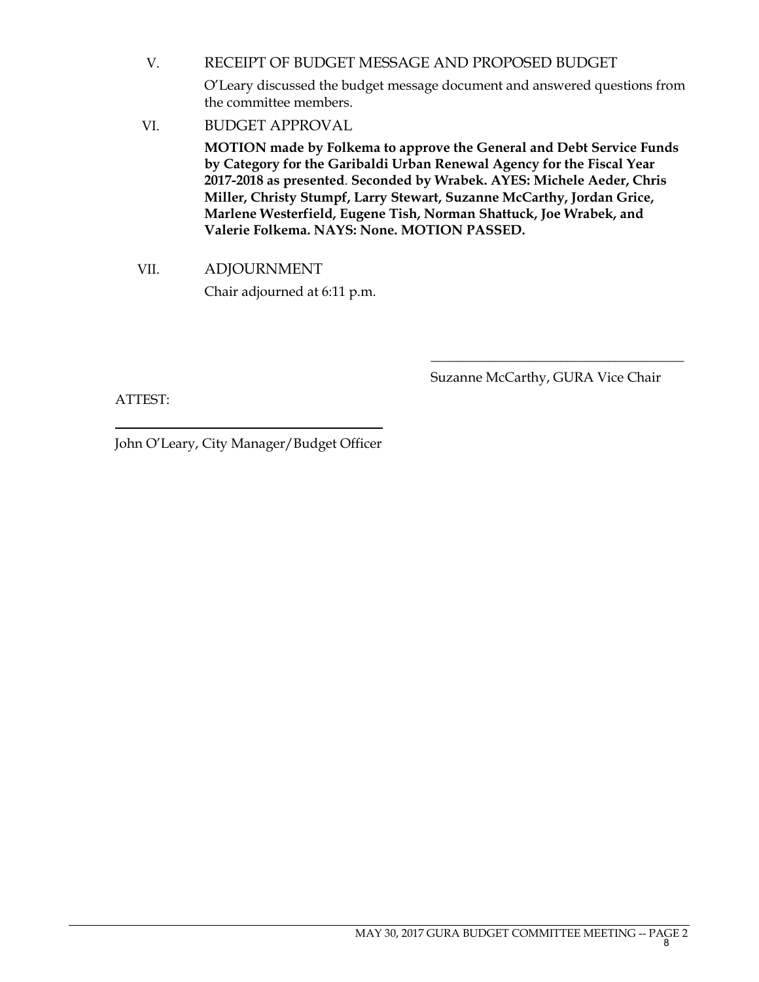## V. RECEIPT OF BUDGET MESSAGE AND PROPOSED BUDGET

O'Leary discussed the budget message document and answered questions from the committee members.

VI. BUDGET APPROVAL

**MOTION made by Folkema to approve the General and Debt Service Funds by Category for the Garibaldi Urban Renewal Agency for the Fiscal Year 2017-2018 as presented**. **Seconded by Wrabek. AYES: Michele Aeder, Chris Miller, Christy Stumpf, Larry Stewart, Suzanne McCarthy, Jordan Grice, Marlene Westerfield, Eugene Tish, Norman Shattuck, Joe Wrabek, and Valerie Folkema. NAYS: None. MOTION PASSED.**

 VII. ADJOURNMENT Chair adjourned at 6:11 p.m.

Suzanne McCarthy, GURA Vice Chair

 $\frac{1}{\sqrt{2}}$  ,  $\frac{1}{\sqrt{2}}$  ,  $\frac{1}{\sqrt{2}}$  ,  $\frac{1}{\sqrt{2}}$  ,  $\frac{1}{\sqrt{2}}$  ,  $\frac{1}{\sqrt{2}}$  ,  $\frac{1}{\sqrt{2}}$  ,  $\frac{1}{\sqrt{2}}$  ,  $\frac{1}{\sqrt{2}}$  ,  $\frac{1}{\sqrt{2}}$  ,  $\frac{1}{\sqrt{2}}$  ,  $\frac{1}{\sqrt{2}}$  ,  $\frac{1}{\sqrt{2}}$  ,  $\frac{1}{\sqrt{2}}$  ,  $\frac{1}{\sqrt{2}}$ 

ATTEST:

John O'Leary, City Manager/Budget Officer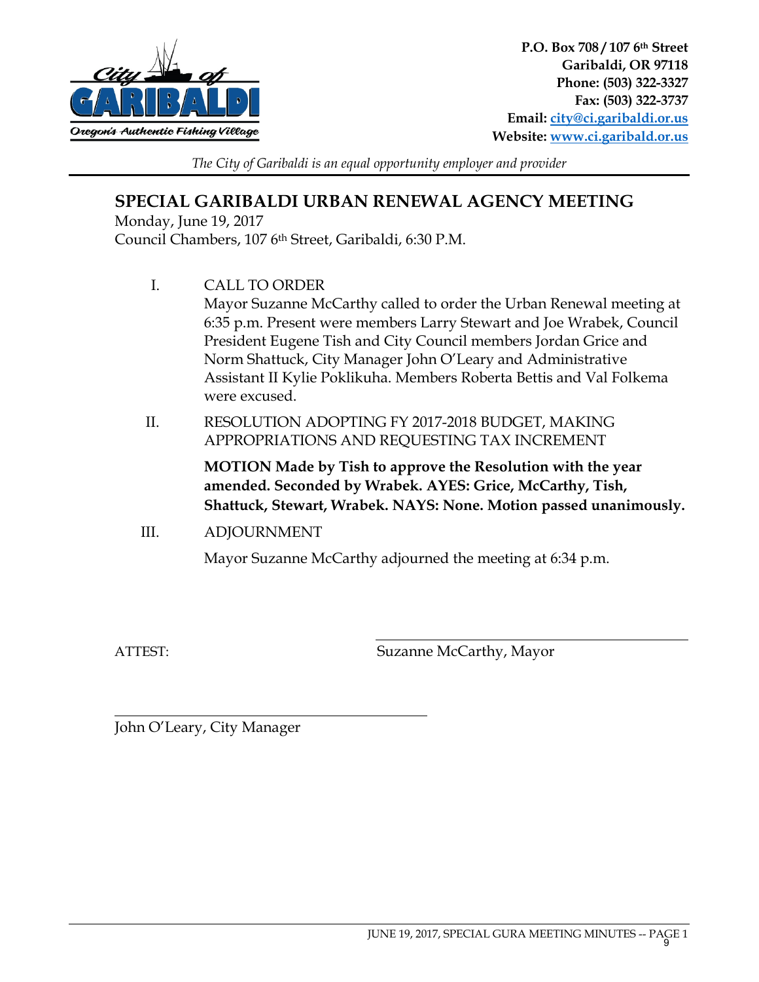

**P.O. Box 708 / 107 6th Street Garibaldi, OR 97118 Phone: (503) 322-3327 Fax: (503) 322-3737 Email: [city@ci.garibaldi.or.us](mailto:city@ci.garibaldi.or.us) Website: [www.ci.garibald.or.us](http://www.ci.garibald.or.us/)**

l

*The City of Garibaldi is an equal opportunity employer and provider*

## **SPECIAL GARIBALDI URBAN RENEWAL AGENCY MEETING**

Monday, June 19, 2017 Council Chambers, 107 6th Street, Garibaldi, 6:30 P.M.

- I. CALL TO ORDER Mayor Suzanne McCarthy called to order the Urban Renewal meeting at 6:35 p.m. Present were members Larry Stewart and Joe Wrabek, Council President Eugene Tish and City Council members Jordan Grice and Norm Shattuck, City Manager John O'Leary and Administrative Assistant II Kylie Poklikuha. Members Roberta Bettis and Val Folkema were excused.
- II. RESOLUTION ADOPTING FY 2017-2018 BUDGET, MAKING APPROPRIATIONS AND REQUESTING TAX INCREMENT

**MOTION Made by Tish to approve the Resolution with the year amended. Seconded by Wrabek. AYES: Grice, McCarthy, Tish, Shattuck, Stewart, Wrabek. NAYS: None. Motion passed unanimously.** 

III. ADJOURNMENT

Mayor Suzanne McCarthy adjourned the meeting at 6:34 p.m.

 $\overline{a}$ 

ATTEST: Suzanne McCarthy, Mayor

John O'Leary, City Manager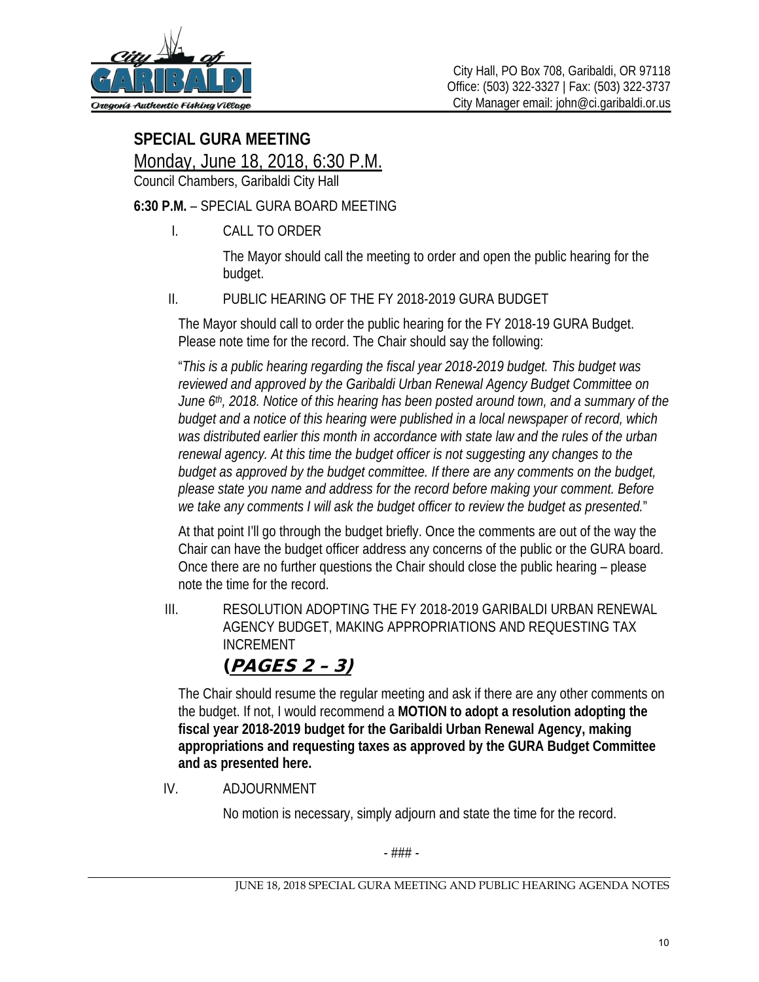

# **SPECIAL GURA MEETING**

Monday, June 18, 2018, 6:30 P.M.

Council Chambers, Garibaldi City Hall

## **6:30 P.M.** – SPECIAL GURA BOARD MEETING

I. CALL TO ORDER

The Mayor should call the meeting to order and open the public hearing for the budget.

## II. PUBLIC HEARING OF THE FY 2018-2019 GURA BUDGET

The Mayor should call to order the public hearing for the FY 2018-19 GURA Budget. Please note time for the record. The Chair should say the following:

"*This is a public hearing regarding the fiscal year 2018-2019 budget. This budget was reviewed and approved by the Garibaldi Urban Renewal Agency Budget Committee on June 6th, 2018. Notice of this hearing has been posted around town, and a summary of the budget and a notice of this hearing were published in a local newspaper of record, which was distributed earlier this month in accordance with state law and the rules of the urban renewal agency. At this time the budget officer is not suggesting any changes to the budget as approved by the budget committee. If there are any comments on the budget, please state you name and address for the record before making your comment. Before we take any comments I will ask the budget officer to review the budget as presented.*"

At that point I'll go through the budget briefly. Once the comments are out of the way the Chair can have the budget officer address any concerns of the public or the GURA board. Once there are no further questions the Chair should close the public hearing – please note the time for the record.

III. RESOLUTION ADOPTING THE FY 2018-2019 GARIBALDI URBAN RENEWAL AGENCY BUDGET, MAKING APPROPRIATIONS AND REQUESTING TAX INCREMENT

## (PAGES 2 – 3)

The Chair should resume the regular meeting and ask if there are any other comments on the budget. If not, I would recommend a **MOTION to adopt a resolution adopting the fiscal year 2018-2019 budget for the Garibaldi Urban Renewal Agency, making appropriations and requesting taxes as approved by the GURA Budget Committee and as presented here.** 

IV. ADJOURNMENT

No motion is necessary, simply adjourn and state the time for the record.

- ### -

JUNE 18, 2018 SPECIAL GURA MEETING AND PUBLIC HEARING AGENDA NOTES